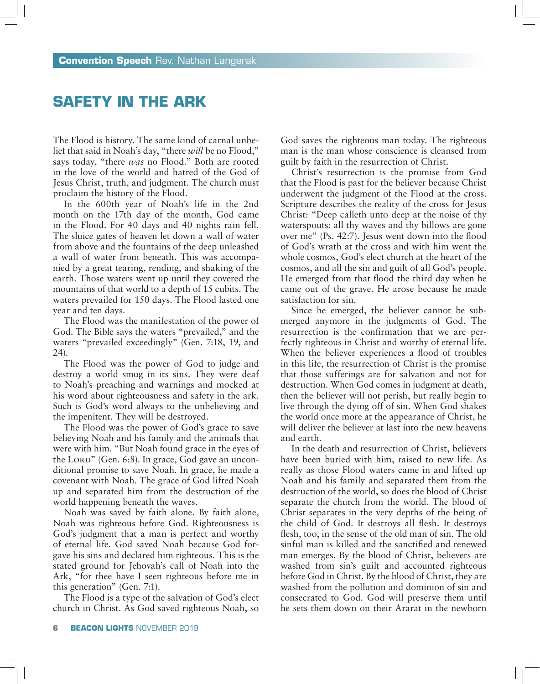## **Safety in the Ark**

The Flood is history. The same kind of carnal unbelief that said in Noah's day, "there *will* be no Flood," says today, "there *was* no Flood." Both are rooted in the love of the world and hatred of the God of Jesus Christ, truth, and judgment. The church must proclaim the history of the Flood.

In the 600th year of Noah's life in the 2nd month on the 17th day of the month, God came in the Flood. For 40 days and 40 nights rain fell. The sluice gates of heaven let down a wall of water from above and the fountains of the deep unleashed a wall of water from beneath. This was accompanied by a great tearing, rending, and shaking of the earth. Those waters went up until they covered the mountains of that world to a depth of 15 cubits. The waters prevailed for 150 days. The Flood lasted one year and ten days.

The Flood was the manifestation of the power of God. The Bible says the waters "prevailed," and the waters "prevailed exceedingly" (Gen. 7:18, 19, and 24).

The Flood was the power of God to judge and destroy a world smug in its sins. They were deaf to Noah's preaching and warnings and mocked at his word about righteousness and safety in the ark. Such is God's word always to the unbelieving and the impenitent. They will be destroyed.

The Flood was the power of God's grace to save believing Noah and his family and the animals that were with him. "But Noah found grace in the eyes of the LORD" (Gen. 6:8). In grace, God gave an unconditional promise to save Noah. In grace, he made a covenant with Noah. The grace of God lifted Noah up and separated him from the destruction of the world happening beneath the waves.

Noah was saved by faith alone. By faith alone, Noah was righteous before God. Righteousness is God's judgment that a man is perfect and worthy of eternal life. God saved Noah because God forgave his sins and declared him righteous. This is the stated ground for Jehovah's call of Noah into the Ark, "for thee have I seen righteous before me in this generation" (Gen. 7:1).

The Flood is a type of the salvation of God's elect church in Christ. As God saved righteous Noah, so God saves the righteous man today. The righteous man is the man whose conscience is cleansed from guilt by faith in the resurrection of Christ.

Christ's resurrection is the promise from God that the Flood is past for the believer because Christ underwent the judgment of the Flood at the cross. Scripture describes the reality of the cross for Jesus Christ: "Deep calleth unto deep at the noise of thy waterspouts: all thy waves and thy billows are gone over me" (Ps. 42:7). Jesus went down into the flood of God's wrath at the cross and with him went the whole cosmos, God's elect church at the heart of the cosmos, and all the sin and guilt of all God's people. He emerged from that flood the third day when he came out of the grave. He arose because he made satisfaction for sin.

Since he emerged, the believer cannot be submerged anymore in the judgments of God. The resurrection is the confirmation that we are perfectly righteous in Christ and worthy of eternal life. When the believer experiences a flood of troubles in this life, the resurrection of Christ is the promise that those sufferings are for salvation and not for destruction. When God comes in judgment at death, then the believer will not perish, but really begin to live through the dying off of sin. When God shakes the world once more at the appearance of Christ, he will deliver the believer at last into the new heavens and earth.

In the death and resurrection of Christ, believers have been buried with him, raised to new life. As really as those Flood waters came in and lifted up Noah and his family and separated them from the destruction of the world, so does the blood of Christ separate the church from the world. The blood of Christ separates in the very depths of the being of the child of God. It destroys all flesh. It destroys flesh, too, in the sense of the old man of sin. The old sinful man is killed and the sanctified and renewed man emerges. By the blood of Christ, believers are washed from sin's guilt and accounted righteous before God in Christ. By the blood of Christ, they are washed from the pollution and dominion of sin and consecrated to God. God will preserve them until he sets them down on their Ararat in the newborn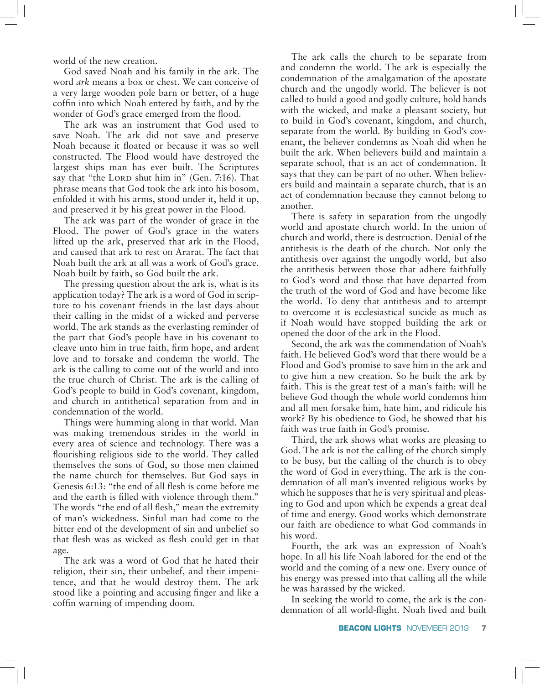world of the new creation.

God saved Noah and his family in the ark. The word *ark* means a box or chest. We can conceive of a very large wooden pole barn or better, of a huge coffin into which Noah entered by faith, and by the wonder of God's grace emerged from the flood.

The ark was an instrument that God used to save Noah. The ark did not save and preserve Noah because it floated or because it was so well constructed. The Flood would have destroyed the largest ships man has ever built. The Scriptures say that "the LORD shut him in" (Gen. 7:16). That phrase means that God took the ark into his bosom, enfolded it with his arms, stood under it, held it up, and preserved it by his great power in the Flood.

The ark was part of the wonder of grace in the Flood. The power of God's grace in the waters lifted up the ark, preserved that ark in the Flood, and caused that ark to rest on Ararat. The fact that Noah built the ark at all was a work of God's grace. Noah built by faith, so God built the ark.

The pressing question about the ark is, what is its application today? The ark is a word of God in scripture to his covenant friends in the last days about their calling in the midst of a wicked and perverse world. The ark stands as the everlasting reminder of the part that God's people have in his covenant to cleave unto him in true faith, firm hope, and ardent love and to forsake and condemn the world. The ark is the calling to come out of the world and into the true church of Christ. The ark is the calling of God's people to build in God's covenant, kingdom, and church in antithetical separation from and in condemnation of the world.

Things were humming along in that world. Man was making tremendous strides in the world in every area of science and technology. There was a flourishing religious side to the world. They called themselves the sons of God, so those men claimed the name church for themselves. But God says in Genesis 6:13: "the end of all flesh is come before me and the earth is filled with violence through them." The words "the end of all flesh," mean the extremity of man's wickedness. Sinful man had come to the bitter end of the development of sin and unbelief so that flesh was as wicked as flesh could get in that age.

The ark was a word of God that he hated their religion, their sin, their unbelief, and their impenitence, and that he would destroy them. The ark stood like a pointing and accusing finger and like a coffin warning of impending doom.

The ark calls the church to be separate from and condemn the world. The ark is especially the condemnation of the amalgamation of the apostate church and the ungodly world. The believer is not called to build a good and godly culture, hold hands with the wicked, and make a pleasant society, but to build in God's covenant, kingdom, and church, separate from the world. By building in God's covenant, the believer condemns as Noah did when he built the ark. When believers build and maintain a separate school, that is an act of condemnation. It says that they can be part of no other. When believers build and maintain a separate church, that is an act of condemnation because they cannot belong to another.

There is safety in separation from the ungodly world and apostate church world. In the union of church and world, there is destruction. Denial of the antithesis is the death of the church. Not only the antithesis over against the ungodly world, but also the antithesis between those that adhere faithfully to God's word and those that have departed from the truth of the word of God and have become like the world. To deny that antithesis and to attempt to overcome it is ecclesiastical suicide as much as if Noah would have stopped building the ark or opened the door of the ark in the Flood.

Second, the ark was the commendation of Noah's faith. He believed God's word that there would be a Flood and God's promise to save him in the ark and to give him a new creation. So he built the ark by faith. This is the great test of a man's faith: will he believe God though the whole world condemns him and all men forsake him, hate him, and ridicule his work? By his obedience to God, he showed that his faith was true faith in God's promise.

Third, the ark shows what works are pleasing to God. The ark is not the calling of the church simply to be busy, but the calling of the church is to obey the word of God in everything. The ark is the condemnation of all man's invented religious works by which he supposes that he is very spiritual and pleasing to God and upon which he expends a great deal of time and energy. Good works which demonstrate our faith are obedience to what God commands in his word.

Fourth, the ark was an expression of Noah's hope. In all his life Noah labored for the end of the world and the coming of a new one. Every ounce of his energy was pressed into that calling all the while he was harassed by the wicked.

In seeking the world to come, the ark is the condemnation of all world-flight. Noah lived and built